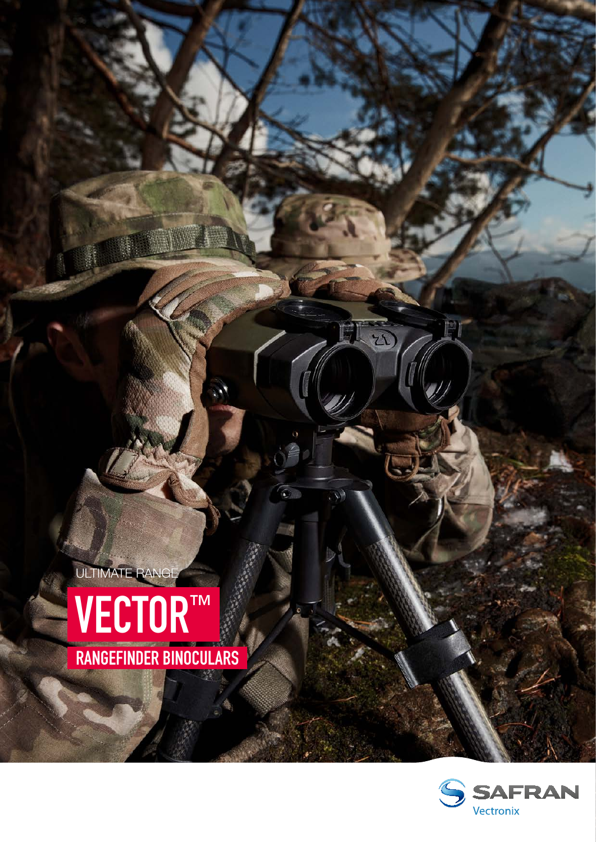ULTIMATE RANGE



RANGEFINDER BINOCULARS



 $\overline{\mathfrak{L}}$